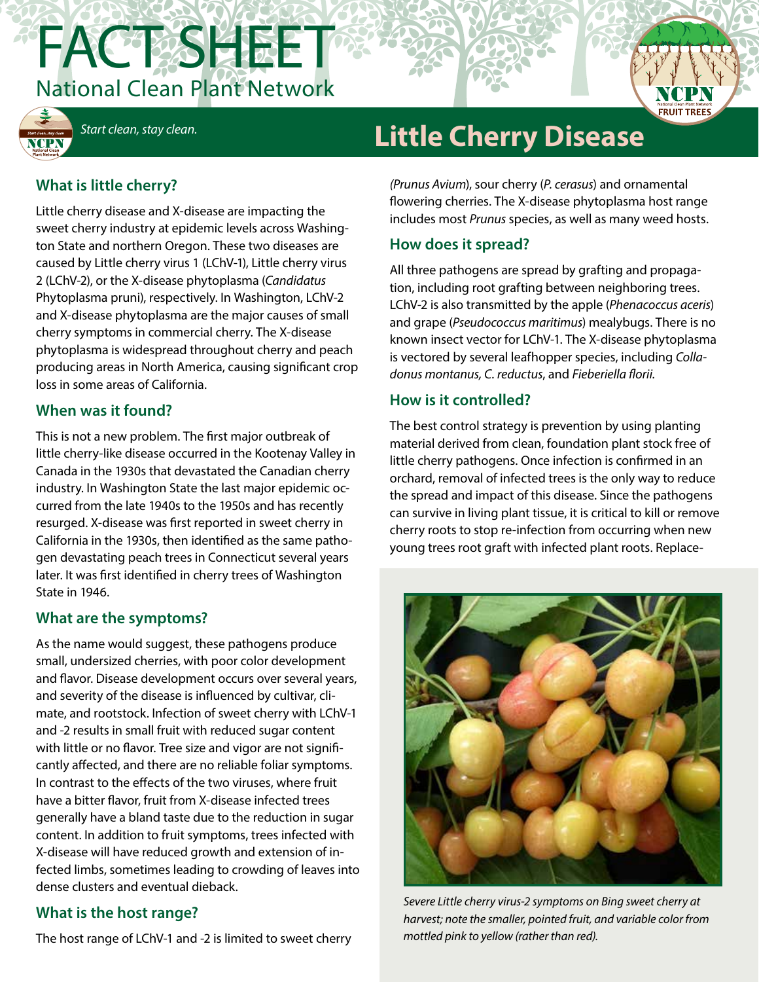



# *Start clean, stay clean.* **Little Cherry Disease**

# **What is little cherry?**

Little cherry disease and X-disease are impacting the sweet cherry industry at epidemic levels across Washington State and northern Oregon. These two diseases are caused by Little cherry virus 1 (LChV-1), Little cherry virus 2 (LChV-2), or the X-disease phytoplasma (*Candidatus* Phytoplasma pruni), respectively. In Washington, LChV-2 and X-disease phytoplasma are the major causes of small cherry symptoms in commercial cherry. The X-disease phytoplasma is widespread throughout cherry and peach producing areas in North America, causing significant crop loss in some areas of California.

#### **When was it found?**

This is not a new problem. The first major outbreak of little cherry-like disease occurred in the Kootenay Valley in Canada in the 1930s that devastated the Canadian cherry industry. In Washington State the last major epidemic occurred from the late 1940s to the 1950s and has recently resurged. X-disease was first reported in sweet cherry in California in the 1930s, then identified as the same pathogen devastating peach trees in Connecticut several years later. It was first identified in cherry trees of Washington State in 1946.

### **What are the symptoms?**

As the name would suggest, these pathogens produce small, undersized cherries, with poor color development and flavor. Disease development occurs over several years, and severity of the disease is influenced by cultivar, climate, and rootstock. Infection of sweet cherry with LChV-1 and -2 results in small fruit with reduced sugar content with little or no flavor. Tree size and vigor are not significantly affected, and there are no reliable foliar symptoms. In contrast to the effects of the two viruses, where fruit have a bitter flavor, fruit from X-disease infected trees generally have a bland taste due to the reduction in sugar content. In addition to fruit symptoms, trees infected with X-disease will have reduced growth and extension of infected limbs, sometimes leading to crowding of leaves into dense clusters and eventual dieback.

### **What is the host range?**

The host range of LChV-1 and -2 is limited to sweet cherry

*(Prunus Avium*), sour cherry (*P. cerasus*) and ornamental flowering cherries. The X-disease phytoplasma host range includes most *Prunus* species, as well as many weed hosts.

# **How does it spread?**

All three pathogens are spread by grafting and propagation, including root grafting between neighboring trees. LChV-2 is also transmitted by the apple (*Phenacoccus aceris*) and grape (*Pseudococcus maritimus*) mealybugs. There is no known insect vector for LChV-1. The X-disease phytoplasma is vectored by several leafhopper species, including *Colladonus montanus, C. reductus*, and *Fieberiella florii.*

#### **How is it controlled?**

The best control strategy is prevention by using planting material derived from clean, foundation plant stock free of little cherry pathogens. Once infection is confirmed in an orchard, removal of infected trees is the only way to reduce the spread and impact of this disease. Since the pathogens can survive in living plant tissue, it is critical to kill or remove cherry roots to stop re-infection from occurring when new young trees root graft with infected plant roots. Replace-



*Severe Little cherry virus-2 symptoms on Bing sweet cherry at harvest; note the smaller, pointed fruit, and variable color from mottled pink to yellow (rather than red).*